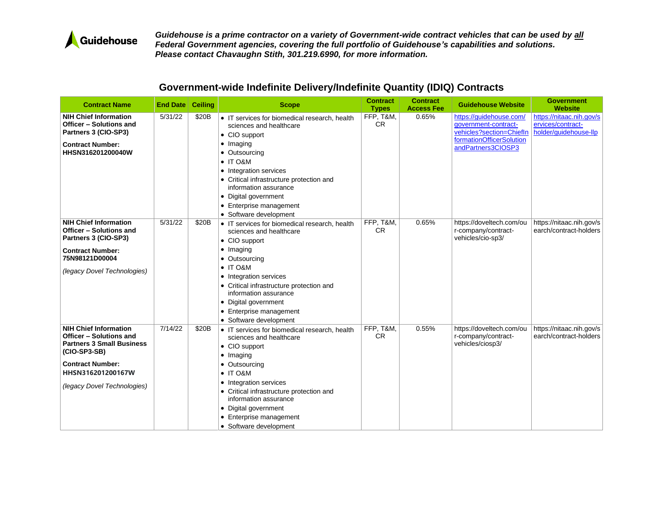

| <b>Contract Name</b>                                                                                                                                                                       | <b>End Date Ceiling</b> |       | <b>Scope</b>                                                                                                                                                                                                                                                                                                                    | <b>Contract</b><br><b>Types</b> | <b>Contract</b><br><b>Access Fee</b> | <b>Guidehouse Website</b>                                                                                                     | <b>Government</b><br><b>Website</b>                                    |
|--------------------------------------------------------------------------------------------------------------------------------------------------------------------------------------------|-------------------------|-------|---------------------------------------------------------------------------------------------------------------------------------------------------------------------------------------------------------------------------------------------------------------------------------------------------------------------------------|---------------------------------|--------------------------------------|-------------------------------------------------------------------------------------------------------------------------------|------------------------------------------------------------------------|
| <b>NIH Chief Information</b><br>Officer - Solutions and<br>Partners 3 (CIO-SP3)<br><b>Contract Number:</b><br>HHSN316201200040W                                                            | 5/31/22                 | \$20B | • IT services for biomedical research, health<br>sciences and healthcare<br>• CIO support<br>• Imaging<br>• Outsourcing<br>$\bullet$ IT O&M<br>• Integration services<br>• Critical infrastructure protection and<br>information assurance<br>• Digital government<br>• Enterprise management<br>• Software development         | FFP, T&M,<br><b>CR</b>          | 0.65%                                | https://guidehouse.com/<br>government-contract-<br>vehicles?section=ChiefIn<br>formationOfficerSolution<br>andPartners3CIOSP3 | https://nitaac.nih.gov/s<br>ervices/contract-<br>holder/guidehouse-llp |
| <b>NIH Chief Information</b><br>Officer - Solutions and<br>Partners 3 (CIO-SP3)<br><b>Contract Number:</b><br>75N98121D00004<br>(legacy Dovel Technologies)                                | 5/31/22                 | \$20B | • IT services for biomedical research, health<br>sciences and healthcare<br>• CIO support<br>$\bullet$ Imaging<br>• Outsourcing<br>$\bullet$ IT O&M<br>• Integration services<br>• Critical infrastructure protection and<br>information assurance<br>• Digital government<br>• Enterprise management<br>• Software development | FFP, T&M,<br><b>CR</b>          | 0.65%                                | https://doveltech.com/ou<br>r-company/contract-<br>vehicles/cio-sp3/                                                          | https://nitaac.nih.gov/s<br>earch/contract-holders                     |
| <b>NIH Chief Information</b><br>Officer - Solutions and<br><b>Partners 3 Small Business</b><br>(CIO-SP3-SB)<br><b>Contract Number:</b><br>HHSN316201200167W<br>(legacy Dovel Technologies) | 7/14/22                 | \$20B | • IT services for biomedical research, health<br>sciences and healthcare<br>• CIO support<br>• Imaging<br>• Outsourcing<br>$\bullet$ IT O&M<br>• Integration services<br>• Critical infrastructure protection and<br>information assurance<br>• Digital government<br>• Enterprise management<br>• Software development         | FFP, T&M,<br>CR.                | 0.55%                                | https://doveltech.com/ou<br>r-company/contract-<br>vehicles/ciosp3/                                                           | https://nitaac.nih.gov/s<br>earch/contract-holders                     |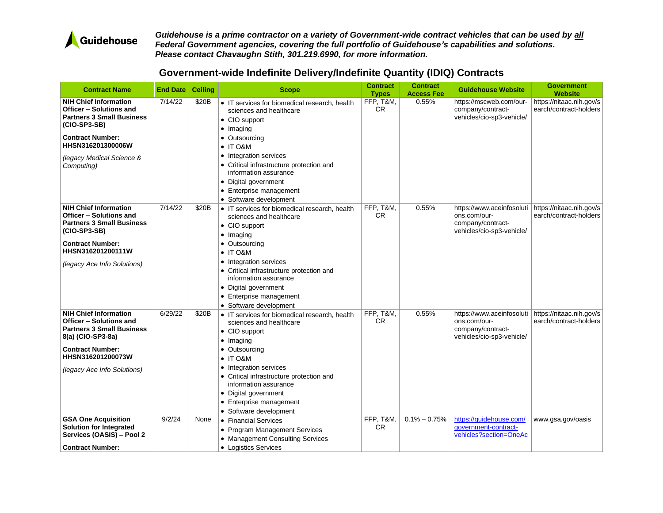

| <b>Contract Name</b>                                                                                                                                                                                                          | <b>End Date</b>   | <b>Ceiling</b> | <b>Scope</b>                                                                                                                                                                                                                                                                                                                                             | <b>Contract</b><br><b>Types</b> | <b>Contract</b><br><b>Access Fee</b> | <b>Guidehouse Website</b>                                                                                              | <b>Government</b><br><b>Website</b>                                     |
|-------------------------------------------------------------------------------------------------------------------------------------------------------------------------------------------------------------------------------|-------------------|----------------|----------------------------------------------------------------------------------------------------------------------------------------------------------------------------------------------------------------------------------------------------------------------------------------------------------------------------------------------------------|---------------------------------|--------------------------------------|------------------------------------------------------------------------------------------------------------------------|-------------------------------------------------------------------------|
| <b>NIH Chief Information</b><br>Officer - Solutions and<br><b>Partners 3 Small Business</b><br>(CIO-SP3-SB)<br><b>Contract Number:</b><br>HHSN316201300006W<br>(legacy Medical Science &<br>Computing)                        | 7/14/22           | \$20B          | • IT services for biomedical research, health<br>sciences and healthcare<br>• CIO support<br>$\bullet$ Imaging<br>Outsourcing<br>$\bullet$<br>IT O&M<br>$\bullet$<br>Integration services<br>$\bullet$<br>• Critical infrastructure protection and<br>information assurance<br>• Digital government<br>• Enterprise management<br>• Software development | FFP, T&M,<br>CR.                | 0.55%                                | https://mscweb.com/our-<br>company/contract-<br>vehicles/cio-sp3-vehicle/                                              | https://nitaac.nih.gov/s<br>earch/contract-holders                      |
| <b>NIH Chief Information</b><br>Officer - Solutions and<br><b>Partners 3 Small Business</b><br>(CIO-SP3-SB)<br><b>Contract Number:</b><br>HHSN316201200111W<br>(legacy Ace Info Solutions)                                    | 7/14/22           | \$20B          | • IT services for biomedical research, health<br>sciences and healthcare<br>• CIO support<br>Imaging<br>$\bullet$<br>Outsourcing<br>$\bullet$ IT O&M<br>Integration services<br>$\bullet$<br>• Critical infrastructure protection and<br>information assurance<br>• Digital government<br>• Enterprise management<br>• Software development              | FFP, T&M,<br>CR.                | 0.55%                                | https://www.aceinfosoluti<br>ons.com/our-<br>company/contract-<br>vehicles/cio-sp3-vehicle/                            | https://nitaac.nih.gov/s<br>earch/contract-holders                      |
| <b>NIH Chief Information</b><br>Officer - Solutions and<br><b>Partners 3 Small Business</b><br>8(a) (CIO-SP3-8a)<br><b>Contract Number:</b><br>HHSN316201200073W<br>(legacy Ace Info Solutions)<br><b>GSA One Acquisition</b> | 6/29/22<br>9/2/24 | \$20B<br>None  | • IT services for biomedical research, health<br>sciences and healthcare<br>• CIO support<br>• Imaging<br>Outsourcing<br>$\bullet$<br>$\bullet$ IT O&M<br>Integration services<br>$\bullet$<br>• Critical infrastructure protection and<br>information assurance<br>Digital government<br>$\bullet$<br>• Enterprise management<br>• Software development | FFP, T&M,<br>CR.<br>FFP. T&M    | 0.55%<br>$0.1\% - 0.75\%$            | https://www.aceinfosoluti<br>ons.com/our-<br>company/contract-<br>vehicles/cio-sp3-vehicle/<br>https://auidehouse.com/ | https://nitaac.nih.gov/s<br>earch/contract-holders<br>www.gsa.gov/oasis |
| <b>Solution for Integrated</b><br>Services (OASIS) - Pool 2<br><b>Contract Number:</b>                                                                                                                                        |                   |                | • Financial Services<br>• Program Management Services<br>• Management Consulting Services<br>• Logistics Services                                                                                                                                                                                                                                        | CR.                             |                                      | qovernment-contract-<br>vehicles?section=OneAc                                                                         |                                                                         |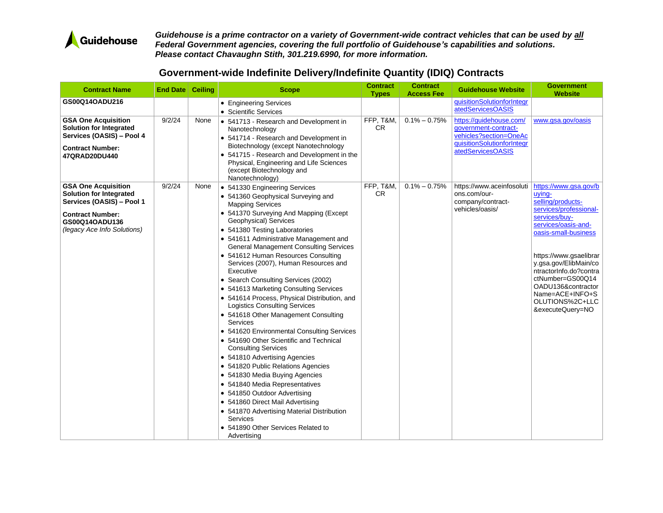

| <b>Contract Name</b>                                                                                                                  | End Date   Ceiling |      | <b>Scope</b>                                                                                                                                                                                                                                                                                                                                                                                                                                                                                                                                                                                                                                                                                                                                                                                                                                                                                                                                                                                         | <b>Contract</b><br><b>Types</b> | <b>Contract</b><br><b>Access Fee</b> | <b>Guidehouse Website</b>                                                                                                    | <b>Government</b><br><b>Website</b>                                                                                                                                                                                                                                     |
|---------------------------------------------------------------------------------------------------------------------------------------|--------------------|------|------------------------------------------------------------------------------------------------------------------------------------------------------------------------------------------------------------------------------------------------------------------------------------------------------------------------------------------------------------------------------------------------------------------------------------------------------------------------------------------------------------------------------------------------------------------------------------------------------------------------------------------------------------------------------------------------------------------------------------------------------------------------------------------------------------------------------------------------------------------------------------------------------------------------------------------------------------------------------------------------------|---------------------------------|--------------------------------------|------------------------------------------------------------------------------------------------------------------------------|-------------------------------------------------------------------------------------------------------------------------------------------------------------------------------------------------------------------------------------------------------------------------|
| GS00Q14OADU216                                                                                                                        |                    |      | • Engineering Services                                                                                                                                                                                                                                                                                                                                                                                                                                                                                                                                                                                                                                                                                                                                                                                                                                                                                                                                                                               |                                 |                                      | quisitionSolutionforIntegr                                                                                                   |                                                                                                                                                                                                                                                                         |
|                                                                                                                                       |                    |      | • Scientific Services                                                                                                                                                                                                                                                                                                                                                                                                                                                                                                                                                                                                                                                                                                                                                                                                                                                                                                                                                                                |                                 |                                      | atedServicesOASIS                                                                                                            |                                                                                                                                                                                                                                                                         |
| <b>GSA One Acquisition</b><br><b>Solution for Integrated</b><br>Services (OASIS) - Pool 4<br><b>Contract Number:</b><br>47QRAD20DU440 | 9/2/24             | None | • 541713 - Research and Development in<br>Nanotechnology<br>• 541714 - Research and Development in<br>Biotechnology (except Nanotechnology<br>• 541715 - Research and Development in the<br>Physical, Engineering and Life Sciences<br>(except Biotechnology and<br>Nanotechnology)                                                                                                                                                                                                                                                                                                                                                                                                                                                                                                                                                                                                                                                                                                                  | FFP, T&M,<br><b>CR</b>          | $0.1\% - 0.75\%$                     | https://guidehouse.com/<br>qovernment-contract-<br>vehicles?section=OneAc<br>quisitionSolutionforIntegr<br>atedServicesOASIS | www.gsa.gov/oasis                                                                                                                                                                                                                                                       |
| <b>GSA One Acquisition</b><br><b>Solution for Integrated</b><br>Services (OASIS) - Pool 1                                             | 9/2/24             | None | • 541330 Engineering Services<br>• 541360 Geophysical Surveying and                                                                                                                                                                                                                                                                                                                                                                                                                                                                                                                                                                                                                                                                                                                                                                                                                                                                                                                                  | FFP, T&M,<br><b>CR</b>          | $0.1\% - 0.75\%$                     | https://www.aceinfosoluti<br>ons.com/our-<br>company/contract-                                                               | https://www.gsa.gov/b<br>uving-<br>selling/products-                                                                                                                                                                                                                    |
| <b>Contract Number:</b><br>GS00Q14OADU136<br>(legacy Ace Info Solutions)                                                              |                    |      | <b>Mapping Services</b><br>• 541370 Surveying And Mapping (Except<br>Geophysical) Services<br>• 541380 Testing Laboratories<br>• 541611 Administrative Management and<br><b>General Management Consulting Services</b><br>• 541612 Human Resources Consulting<br>Services (2007), Human Resources and<br>Executive<br>• Search Consulting Services (2002)<br>• 541613 Marketing Consulting Services<br>• 541614 Process, Physical Distribution, and<br><b>Logistics Consulting Services</b><br>• 541618 Other Management Consulting<br>Services<br>• 541620 Environmental Consulting Services<br>• 541690 Other Scientific and Technical<br><b>Consulting Services</b><br>• 541810 Advertising Agencies<br>• 541820 Public Relations Agencies<br>• 541830 Media Buying Agencies<br>• 541840 Media Representatives<br>• 541850 Outdoor Advertising<br>• 541860 Direct Mail Advertising<br>• 541870 Advertising Material Distribution<br>Services<br>• 541890 Other Services Related to<br>Advertising |                                 |                                      | vehicles/oasis/                                                                                                              | services/professional-<br>services/buy-<br>services/oasis-and-<br>oasis-small-business<br>https://www.gsaelibrar<br>y.gsa.gov/ElibMain/co<br>ntractorInfo.do?contra<br>ctNumber=GS00Q14<br>OADU136&contractor<br>Name=ACE+INFO+S<br>OLUTIONS%2C+LLC<br>&executeQuery=NO |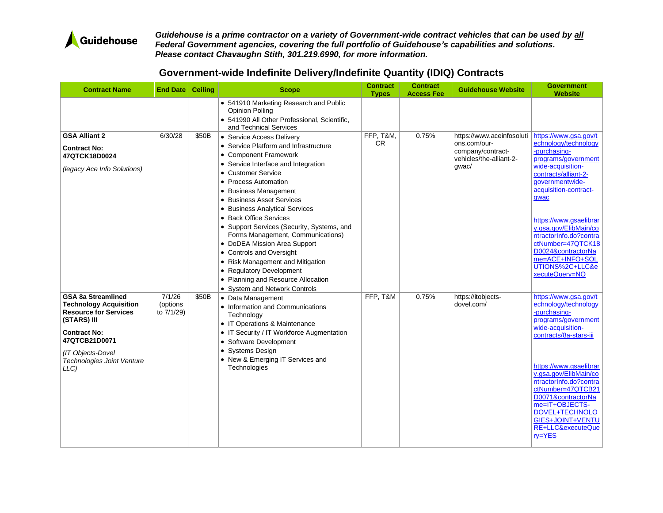

| <b>Contract Name</b>                                                                                                                                                                                                | <b>End Date   Ceiling</b>        |       | <b>Scope</b>                                                                                                                                                                                                                                                                                                                                                                                                                                                                                                                                                                                  | <b>Contract</b><br><b>Types</b> | <b>Contract</b><br><b>Access Fee</b> | <b>Guidehouse Website</b>                                                                          | <b>Government</b><br><b>Website</b>                                                                                                                                                                                                                                                                                                                                   |
|---------------------------------------------------------------------------------------------------------------------------------------------------------------------------------------------------------------------|----------------------------------|-------|-----------------------------------------------------------------------------------------------------------------------------------------------------------------------------------------------------------------------------------------------------------------------------------------------------------------------------------------------------------------------------------------------------------------------------------------------------------------------------------------------------------------------------------------------------------------------------------------------|---------------------------------|--------------------------------------|----------------------------------------------------------------------------------------------------|-----------------------------------------------------------------------------------------------------------------------------------------------------------------------------------------------------------------------------------------------------------------------------------------------------------------------------------------------------------------------|
|                                                                                                                                                                                                                     |                                  |       | • 541910 Marketing Research and Public<br><b>Opinion Polling</b><br>· 541990 All Other Professional, Scientific,<br>and Technical Services                                                                                                                                                                                                                                                                                                                                                                                                                                                    |                                 |                                      |                                                                                                    |                                                                                                                                                                                                                                                                                                                                                                       |
| <b>GSA Alliant 2</b><br><b>Contract No:</b><br>47QTCK18D0024<br>(legacy Ace Info Solutions)                                                                                                                         | 6/30/28                          | \$50B | • Service Access Delivery<br>• Service Platform and Infrastructure<br>• Component Framework<br>• Service Interface and Integration<br>• Customer Service<br>• Process Automation<br>• Business Management<br>• Business Asset Services<br><b>Business Analytical Services</b><br>• Back Office Services<br>• Support Services (Security, Systems, and<br>Forms Management, Communications)<br>• DoDEA Mission Area Support<br>• Controls and Oversight<br>• Risk Management and Mitigation<br>• Regulatory Development<br>• Planning and Resource Allocation<br>• System and Network Controls | FFP, T&M,<br>CR.                | 0.75%                                | https://www.aceinfosoluti<br>ons.com/our-<br>company/contract-<br>vehicles/the-alliant-2-<br>gwac/ | https://www.gsa.gov/t<br>echnology/technology<br>-purchasing-<br>programs/government<br>wide-acquisition-<br>contracts/alliant-2-<br>qovernmentwide-<br>acquisition-contract-<br>gwac<br>https://www.gsaelibrar<br>y.gsa.gov/ElibMain/co<br>ntractorInfo.do?contra<br>ctNumber=47QTCK18<br>D0024&contractorNa<br>me=ACE+INFO+SOL<br>UTIONS%2C+LLC&e<br>xecuteQuery=NO |
| <b>GSA 8a Streamlined</b><br><b>Technology Acquisition</b><br><b>Resource for Services</b><br>(STARS) III<br><b>Contract No:</b><br>47QTCB21D0071<br>(IT Objects-Dovel<br><b>Technologies Joint Venture</b><br>LLC) | 7/1/26<br>(options<br>to 7/1/29) | \$50B | • Data Management<br>• Information and Communications<br>Technology<br>• IT Operations & Maintenance<br>• IT Security / IT Workforce Augmentation<br>• Software Development<br>• Systems Design<br>• New & Emerging IT Services and<br>Technologies                                                                                                                                                                                                                                                                                                                                           | FFP, T&M                        | 0.75%                                | https://itobjects-<br>dovel.com/                                                                   | https://www.gsa.gov/t<br>echnology/technology<br>-purchasing-<br>programs/government<br>wide-acquisition-<br>contracts/8a-stars-iii<br>https://www.gsaelibrar<br>y.gsa.gov/ElibMain/co<br>ntractorInfo.do?contra<br>ctNumber=47QTCB21<br>D0071&contractorNa<br>me=IT+OBJECTS-<br>DOVEL+TECHNOLO<br>GIES+JOINT+VENTU<br>RE+LLC&executeQue<br>$ry = YES$                |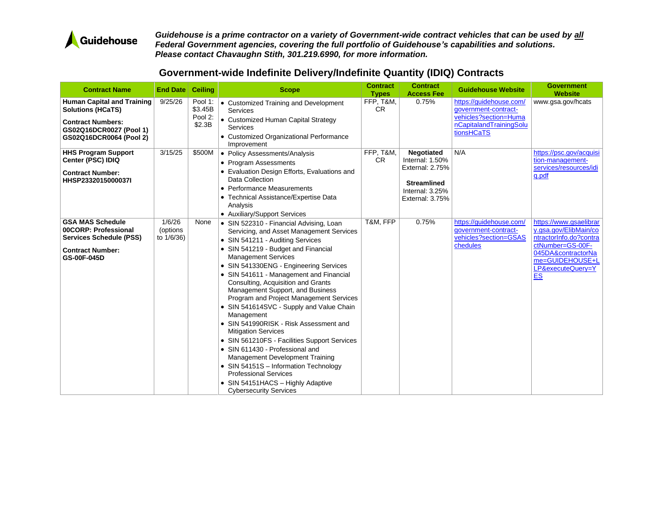

| <b>Contract Name</b>                                                                                                                            | <b>End Date Ceiling</b>          |                                         | <b>Scope</b>                                                                                                                                                                                                                                                                                                                                                                                                                                                                                                                                                                                                                                                                                                                                                                                                  | <b>Contract</b><br><b>Types</b> | <b>Contract</b><br><b>Access Fee</b>                                                                                   | <b>Guidehouse Website</b>                                                                                         | <b>Government</b><br><b>Website</b>                                                                                                                                      |
|-------------------------------------------------------------------------------------------------------------------------------------------------|----------------------------------|-----------------------------------------|---------------------------------------------------------------------------------------------------------------------------------------------------------------------------------------------------------------------------------------------------------------------------------------------------------------------------------------------------------------------------------------------------------------------------------------------------------------------------------------------------------------------------------------------------------------------------------------------------------------------------------------------------------------------------------------------------------------------------------------------------------------------------------------------------------------|---------------------------------|------------------------------------------------------------------------------------------------------------------------|-------------------------------------------------------------------------------------------------------------------|--------------------------------------------------------------------------------------------------------------------------------------------------------------------------|
| <b>Human Capital and Training</b><br><b>Solutions (HCaTS)</b><br><b>Contract Numbers:</b><br>GS02Q16DCR0027 (Pool 1)<br>GS02Q16DCR0064 (Pool 2) | 9/25/26                          | Pool 1:<br>\$3.45B<br>Pool 2:<br>\$2.3B | • Customized Training and Development<br><b>Services</b><br>• Customized Human Capital Strategy<br><b>Services</b><br>• Customized Organizational Performance<br>Improvement                                                                                                                                                                                                                                                                                                                                                                                                                                                                                                                                                                                                                                  | FFP, T&M,<br><b>CR</b>          | 0.75%                                                                                                                  | https://quidehouse.com/<br>qovernment-contract-<br>vehicles?section=Huma<br>nCapitalandTrainingSolu<br>tionsHCaTS | www.gsa.gov/hcats                                                                                                                                                        |
| <b>HHS Program Support</b><br>Center (PSC) IDIQ<br><b>Contract Number:</b><br>HHSP2332015000037I                                                | 3/15/25                          | \$500M                                  | • Policy Assessments/Analysis<br>• Program Assessments<br>• Evaluation Design Efforts, Evaluations and<br>Data Collection<br>• Performance Measurements<br>• Technical Assistance/Expertise Data<br>Analysis<br>• Auxiliary/Support Services                                                                                                                                                                                                                                                                                                                                                                                                                                                                                                                                                                  | FFP, T&M,<br><b>CR</b>          | <b>Negotiated</b><br>Internal: $1.50\%$<br>External: 2.75%<br><b>Streamlined</b><br>Internal: 3.25%<br>External: 3.75% | N/A                                                                                                               | https://psc.gov/acquisi<br>tion-management-<br>services/resources/idi<br>g.pdf                                                                                           |
| <b>GSA MAS Schedule</b><br>00CORP: Professional<br><b>Services Schedule (PSS)</b><br><b>Contract Number:</b><br>GS-00F-045D                     | 1/6/26<br>(options<br>to 1/6/36) | None                                    | • SIN 522310 - Financial Advising, Loan<br>Servicing, and Asset Management Services<br>• SIN 541211 - Auditing Services<br>• SIN 541219 - Budget and Financial<br><b>Management Services</b><br>• SIN 541330ENG - Engineering Services<br>• SIN 541611 - Management and Financial<br>Consulting, Acquisition and Grants<br>Management Support, and Business<br>Program and Project Management Services<br>• SIN 541614SVC - Supply and Value Chain<br>Management<br>• SIN 541990RISK - Risk Assessment and<br><b>Mitigation Services</b><br>• SIN 561210FS - Facilities Support Services<br>• SIN 611430 - Professional and<br>Management Development Training<br>• SIN 54151S - Information Technology<br><b>Professional Services</b><br>• SIN 54151HACS - Highly Adaptive<br><b>Cybersecurity Services</b> | T&M. FFP                        | 0.75%                                                                                                                  | https://auidehouse.com/<br>qovernment-contract-<br>vehicles?section=GSAS<br>chedules                              | https://www.gsaelibrar<br>y.gsa.gov/ElibMain/co<br>ntractorInfo.do?contra<br>ctNumber=GS-00F-<br>045DA&contractorNa<br>me=GUIDEHOUSE+L<br>LP&executeQuery=Y<br><b>ES</b> |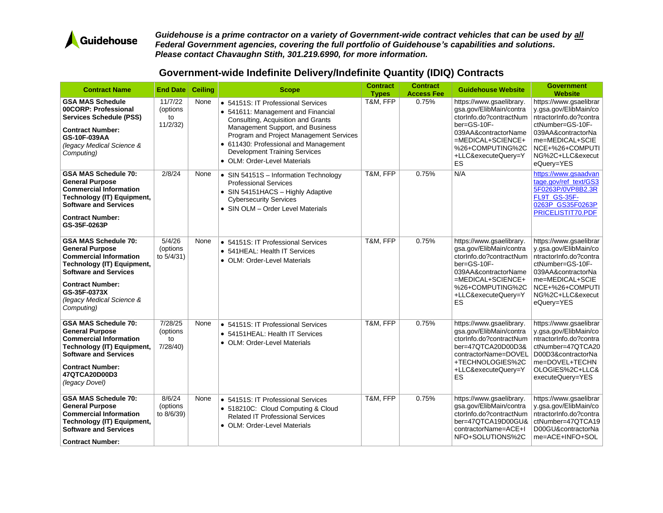

| <b>Contract Name</b>                                                                                                                                                                                                                              | End Date                             | Ceiling | <b>Scope</b>                                                                                                                                                                                                                                                                                                   | <b>Contract</b><br><b>Types</b> | <b>Contract</b><br><b>Access Fee</b> | <b>Guidehouse Website</b>                                                                                                                                                                             | <b>Government</b><br><b>Website</b>                                                                                                                                                         |
|---------------------------------------------------------------------------------------------------------------------------------------------------------------------------------------------------------------------------------------------------|--------------------------------------|---------|----------------------------------------------------------------------------------------------------------------------------------------------------------------------------------------------------------------------------------------------------------------------------------------------------------------|---------------------------------|--------------------------------------|-------------------------------------------------------------------------------------------------------------------------------------------------------------------------------------------------------|---------------------------------------------------------------------------------------------------------------------------------------------------------------------------------------------|
| <b>GSA MAS Schedule</b><br>00CORP: Professional<br><b>Services Schedule (PSS)</b><br><b>Contract Number:</b><br>GS-10F-039AA<br>(legacy Medical Science &<br>Computing)                                                                           | 11/7/22<br>(options<br>to<br>11/2/32 | None    | • 54151S: IT Professional Services<br>• 541611: Management and Financial<br>Consulting, Acquisition and Grants<br>Management Support, and Business<br>Program and Project Management Services<br>• 611430: Professional and Management<br><b>Development Training Services</b><br>• OLM: Order-Level Materials | T&M, FFP                        | 0.75%                                | https://www.gsaelibrary.<br>gsa.gov/ElibMain/contra<br>ctorInfo.do?contractNum<br>$ber = GS - 10F -$<br>039AA&contractorName<br>$=$ MEDICAL+SCIENCE+<br>%26+COMPUTING%2C<br>+LLC&executeQuery=Y<br>ES | https://www.gsaelibrar<br>y.gsa.gov/ElibMain/co<br>ntractorInfo.do?contra<br>ctNumber=GS-10F-<br>039AA&contractorNa<br>me=MEDICAL+SCIE<br>NCE+%26+COMPUTI<br>NG%2C+LLC&execut<br>eQuery=YES |
| <b>GSA MAS Schedule 70:</b><br><b>General Purpose</b><br><b>Commercial Information</b><br><b>Technology (IT) Equipment,</b><br><b>Software and Services</b><br><b>Contract Number:</b><br>GS-35F-0263P                                            | 2/8/24                               | None    | • SIN 54151S - Information Technology<br><b>Professional Services</b><br>• SIN 54151HACS - Highly Adaptive<br><b>Cybersecurity Services</b><br>• SIN OLM - Order Level Materials                                                                                                                               | T&M, FFP                        | 0.75%                                | N/A                                                                                                                                                                                                   | https://www.gsaadvan<br>tage.gov/ref_text/GS3<br>5F0263P/0VP8B2.3R<br>FL9T GS-35F-<br>0263P_GS35F0263P<br>PRICELISTIT70.PDF                                                                 |
| <b>GSA MAS Schedule 70:</b><br><b>General Purpose</b><br><b>Commercial Information</b><br><b>Technology (IT) Equipment,</b><br><b>Software and Services</b><br><b>Contract Number:</b><br>GS-35F-0373X<br>(legacy Medical Science &<br>Computing) | 5/4/26<br>(options<br>to 5/4/31)     | None    | • 54151S: IT Professional Services<br>• 541 HEAL: Health IT Services<br>• OLM: Order-Level Materials                                                                                                                                                                                                           | T&M, FFP                        | 0.75%                                | https://www.gsaelibrary.<br>gsa.gov/ElibMain/contra<br>ctorInfo.do?contractNum<br>ber=GS-10F-<br>039AA&contractorName<br>$=MEDICAL+SCIENCE+$<br>%26+COMPUTING%2C<br>+LLC&executeQuery=Y<br><b>ES</b>  | https://www.gsaelibrar<br>y.gsa.gov/ElibMain/co<br>ntractorInfo.do?contra<br>ctNumber=GS-10F-<br>039AA&contractorNa<br>me=MEDICAL+SCIE<br>NCE+%26+COMPUTI<br>NG%2C+LLC&execut<br>eQuery=YES |
| <b>GSA MAS Schedule 70:</b><br><b>General Purpose</b><br><b>Commercial Information</b><br><b>Technology (IT) Equipment,</b><br><b>Software and Services</b><br><b>Contract Number:</b><br>47QTCA20D00D3<br>(legacy Dovel)                         | 7/28/25<br>(options<br>to<br>7/28/40 | None    | • 54151S: IT Professional Services<br>• 54151HEAL: Health IT Services<br>• OLM: Order-Level Materials                                                                                                                                                                                                          | T&M, FFP                        | 0.75%                                | https://www.gsaelibrary.<br>gsa.gov/ElibMain/contra<br>ctorInfo.do?contractNum<br>ber=47QTCA20D00D3&<br>contractorName=DOVEL<br>+TECHNOLOGIES%2C<br>+LLC&executeQuery=Y<br>ES                         | https://www.gsaelibrar<br>y.gsa.gov/ElibMain/co<br>ntractorInfo.do?contra<br>ctNumber=47QTCA20<br>D00D3&contractorNa<br>me=DOVEL+TECHN<br>OLOGIES%2C+LLC&<br>executeQuery=YES               |
| <b>GSA MAS Schedule 70:</b><br><b>General Purpose</b><br><b>Commercial Information</b><br>Technology (IT) Equipment,<br><b>Software and Services</b><br><b>Contract Number:</b>                                                                   | 8/6/24<br>(options<br>to 8/6/39)     | None    | • 54151S: IT Professional Services<br>• 518210C: Cloud Computing & Cloud<br><b>Related IT Professional Services</b><br>• OLM: Order-Level Materials                                                                                                                                                            | T&M, FFP                        | 0.75%                                | https://www.gsaelibrary.<br>gsa.gov/ElibMain/contra<br>ctorInfo.do?contractNum<br>ber=47QTCA19D00GU&<br>contractorName=ACE+I<br>NFO+SOLUTIONS%2C                                                      | https://www.gsaelibrar<br>y.gsa.gov/ElibMain/co<br>ntractorInfo.do?contra<br>ctNumber=47QTCA19<br>D00GU&contractorNa<br>me=ACE+INFO+SOL                                                     |